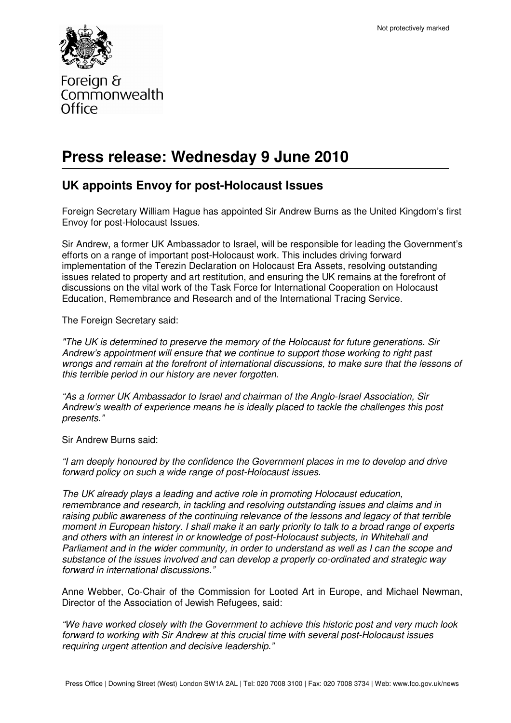

Foreign & Commonwealth Office

# **Press release: Wednesday 9 June 2010**

## **UK appoints Envoy for post-Holocaust Issues**

Foreign Secretary William Hague has appointed Sir Andrew Burns as the United Kingdom's first Envoy for post-Holocaust Issues.

Sir Andrew, a former UK Ambassador to Israel, will be responsible for leading the Government's efforts on a range of important post-Holocaust work. This includes driving forward implementation of the Terezin Declaration on Holocaust Era Assets, resolving outstanding issues related to property and art restitution, and ensuring the UK remains at the forefront of discussions on the vital work of the Task Force for International Cooperation on Holocaust Education, Remembrance and Research and of the International Tracing Service.

The Foreign Secretary said:

"The UK is determined to preserve the memory of the Holocaust for future generations. Sir Andrew's appointment will ensure that we continue to support those working to right past wrongs and remain at the forefront of international discussions, to make sure that the lessons of this terrible period in our history are never forgotten.

"As a former UK Ambassador to Israel and chairman of the Anglo-Israel Association, Sir Andrew's wealth of experience means he is ideally placed to tackle the challenges this post presents."

Sir Andrew Burns said:

"I am deeply honoured by the confidence the Government places in me to develop and drive forward policy on such a wide range of post-Holocaust issues.

The UK already plays a leading and active role in promoting Holocaust education, remembrance and research, in tackling and resolving outstanding issues and claims and in raising public awareness of the continuing relevance of the lessons and legacy of that terrible moment in European history. I shall make it an early priority to talk to a broad range of experts and others with an interest in or knowledge of post-Holocaust subjects, in Whitehall and Parliament and in the wider community, in order to understand as well as I can the scope and substance of the issues involved and can develop a properly co-ordinated and strategic way forward in international discussions."

Anne Webber, Co-Chair of the Commission for Looted Art in Europe, and Michael Newman, Director of the Association of Jewish Refugees, said:

"We have worked closely with the Government to achieve this historic post and very much look forward to working with Sir Andrew at this crucial time with several post-Holocaust issues requiring urgent attention and decisive leadership."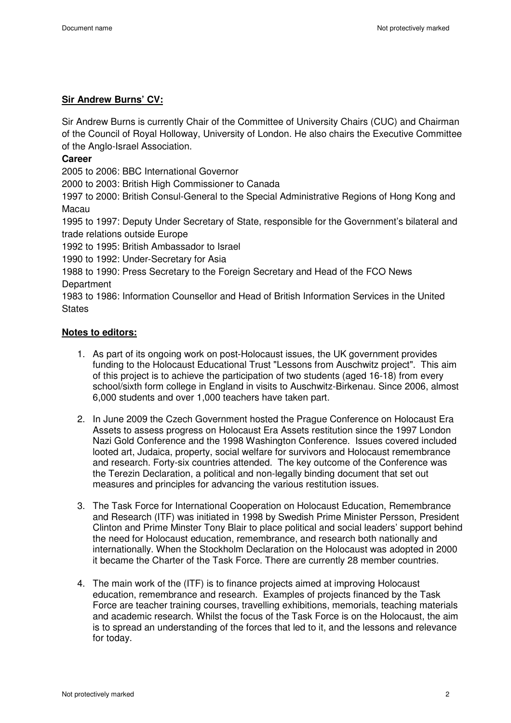### **Sir Andrew Burns' CV:**

Sir Andrew Burns is currently Chair of the Committee of University Chairs (CUC) and Chairman of the Council of Royal Holloway, University of London. He also chairs the Executive Committee of the Anglo-Israel Association.

### **Career**

2005 to 2006: BBC International Governor

2000 to 2003: British High Commissioner to Canada

1997 to 2000: British Consul-General to the Special Administrative Regions of Hong Kong and Macau

1995 to 1997: Deputy Under Secretary of State, responsible for the Government's bilateral and trade relations outside Europe

1992 to 1995: British Ambassador to Israel

1990 to 1992: Under-Secretary for Asia

1988 to 1990: Press Secretary to the Foreign Secretary and Head of the FCO News **Department** 

1983 to 1986: Information Counsellor and Head of British Information Services in the United **States** 

### **Notes to editors:**

- 1. As part of its ongoing work on post-Holocaust issues, the UK government provides funding to the Holocaust Educational Trust "Lessons from Auschwitz project". This aim of this project is to achieve the participation of two students (aged 16-18) from every school/sixth form college in England in visits to Auschwitz-Birkenau. Since 2006, almost 6,000 students and over 1,000 teachers have taken part.
- 2. In June 2009 the Czech Government hosted the Prague Conference on Holocaust Era Assets to assess progress on Holocaust Era Assets restitution since the 1997 London Nazi Gold Conference and the 1998 Washington Conference. Issues covered included looted art, Judaica, property, social welfare for survivors and Holocaust remembrance and research. Forty-six countries attended. The key outcome of the Conference was the Terezin Declaration, a political and non-legally binding document that set out measures and principles for advancing the various restitution issues.
- 3. The Task Force for International Cooperation on Holocaust Education, Remembrance and Research (ITF) was initiated in 1998 by Swedish Prime Minister Persson, President Clinton and Prime Minster Tony Blair to place political and social leaders' support behind the need for Holocaust education, remembrance, and research both nationally and internationally. When the Stockholm Declaration on the Holocaust was adopted in 2000 it became the Charter of the Task Force. There are currently 28 member countries.
- 4. The main work of the (ITF) is to finance projects aimed at improving Holocaust education, remembrance and research. Examples of projects financed by the Task Force are teacher training courses, travelling exhibitions, memorials, teaching materials and academic research. Whilst the focus of the Task Force is on the Holocaust, the aim is to spread an understanding of the forces that led to it, and the lessons and relevance for today.